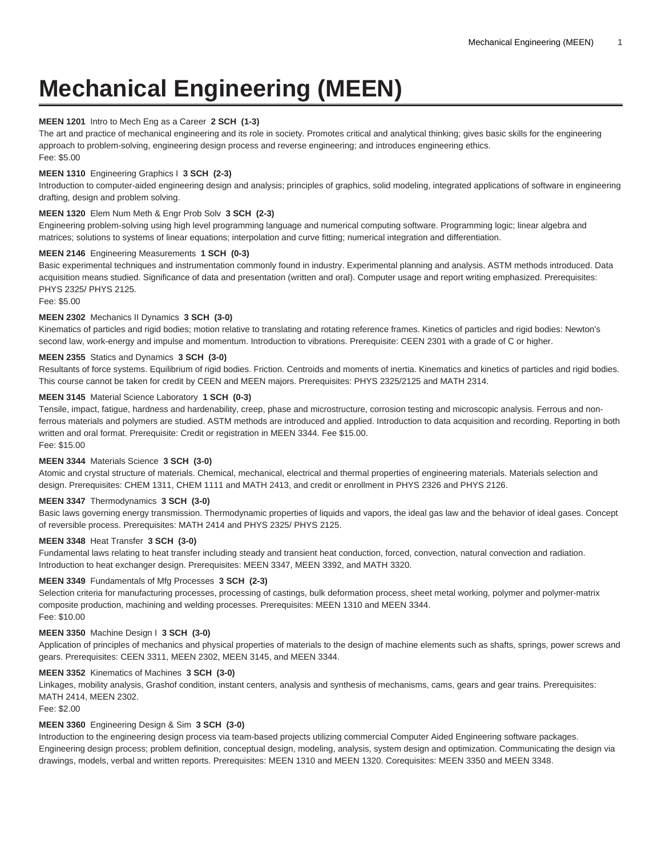# **Mechanical Engineering (MEEN)**

## **MEEN 1201** Intro to Mech Eng as a Career **2 SCH (1-3)**

The art and practice of mechanical engineering and its role in society. Promotes critical and analytical thinking; gives basic skills for the engineering approach to problem-solving, engineering design process and reverse engineering; and introduces engineering ethics. Fee: \$5.00

## **MEEN 1310** Engineering Graphics I **3 SCH (2-3)**

Introduction to computer-aided engineering design and analysis; principles of graphics, solid modeling, integrated applications of software in engineering drafting, design and problem solving.

## **MEEN 1320** Elem Num Meth & Engr Prob Solv **3 SCH (2-3)**

Engineering problem-solving using high level programming language and numerical computing software. Programming logic; linear algebra and matrices; solutions to systems of linear equations; interpolation and curve fitting; numerical integration and differentiation.

## **MEEN 2146** Engineering Measurements **1 SCH (0-3)**

Basic experimental techniques and instrumentation commonly found in industry. Experimental planning and analysis. ASTM methods introduced. Data acquisition means studied. Significance of data and presentation (written and oral). Computer usage and report writing emphasized. Prerequisites: PHYS 2325/ PHYS 2125.

Fee: \$5.00

## **MEEN 2302** Mechanics II Dynamics **3 SCH (3-0)**

Kinematics of particles and rigid bodies; motion relative to translating and rotating reference frames. Kinetics of particles and rigid bodies: Newton's second law, work-energy and impulse and momentum. Introduction to vibrations. Prerequisite: CEEN 2301 with a grade of C or higher.

# **MEEN 2355** Statics and Dynamics **3 SCH (3-0)**

Resultants of force systems. Equilibrium of rigid bodies. Friction. Centroids and moments of inertia. Kinematics and kinetics of particles and rigid bodies. This course cannot be taken for credit by CEEN and MEEN majors. Prerequisites: PHYS 2325/2125 and MATH 2314.

# **MEEN 3145** Material Science Laboratory **1 SCH (0-3)**

Tensile, impact, fatigue, hardness and hardenability, creep, phase and microstructure, corrosion testing and microscopic analysis. Ferrous and nonferrous materials and polymers are studied. ASTM methods are introduced and applied. Introduction to data acquisition and recording. Reporting in both written and oral format. Prerequisite: Credit or registration in MEEN 3344. Fee \$15.00. Fee: \$15.00

## **MEEN 3344** Materials Science **3 SCH (3-0)**

Atomic and crystal structure of materials. Chemical, mechanical, electrical and thermal properties of engineering materials. Materials selection and design. Prerequisites: CHEM 1311, CHEM 1111 and MATH 2413, and credit or enrollment in PHYS 2326 and PHYS 2126.

## **MEEN 3347** Thermodynamics **3 SCH (3-0)**

Basic laws governing energy transmission. Thermodynamic properties of liquids and vapors, the ideal gas law and the behavior of ideal gases. Concept of reversible process. Prerequisites: MATH 2414 and PHYS 2325/ PHYS 2125.

## **MEEN 3348** Heat Transfer **3 SCH (3-0)**

Fundamental laws relating to heat transfer including steady and transient heat conduction, forced, convection, natural convection and radiation. Introduction to heat exchanger design. Prerequisites: MEEN 3347, MEEN 3392, and MATH 3320.

## **MEEN 3349** Fundamentals of Mfg Processes **3 SCH (2-3)**

Selection criteria for manufacturing processes, processing of castings, bulk deformation process, sheet metal working, polymer and polymer-matrix composite production, machining and welding processes. Prerequisites: MEEN 1310 and MEEN 3344. Fee: \$10.00

## **MEEN 3350** Machine Design I **3 SCH (3-0)**

Application of principles of mechanics and physical properties of materials to the design of machine elements such as shafts, springs, power screws and gears. Prerequisites: CEEN 3311, MEEN 2302, MEEN 3145, and MEEN 3344.

#### **MEEN 3352** Kinematics of Machines **3 SCH (3-0)**

Linkages, mobility analysis, Grashof condition, instant centers, analysis and synthesis of mechanisms, cams, gears and gear trains. Prerequisites: MATH 2414, MEEN 2302.

Fee: \$2.00

## **MEEN 3360** Engineering Design & Sim **3 SCH (3-0)**

Introduction to the engineering design process via team-based projects utilizing commercial Computer Aided Engineering software packages. Engineering design process; problem definition, conceptual design, modeling, analysis, system design and optimization. Communicating the design via drawings, models, verbal and written reports. Prerequisites: MEEN 1310 and MEEN 1320. Corequisites: MEEN 3350 and MEEN 3348.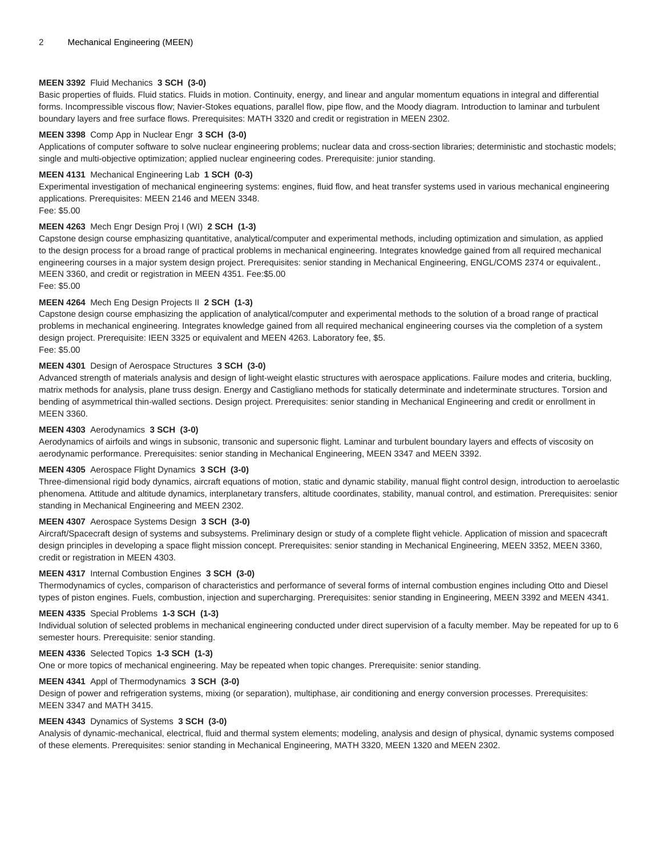#### **MEEN 3392** Fluid Mechanics **3 SCH (3-0)**

Basic properties of fluids. Fluid statics. Fluids in motion. Continuity, energy, and linear and angular momentum equations in integral and differential forms. Incompressible viscous flow; Navier-Stokes equations, parallel flow, pipe flow, and the Moody diagram. Introduction to laminar and turbulent boundary layers and free surface flows. Prerequisites: MATH 3320 and credit or registration in MEEN 2302.

#### **MEEN 3398** Comp App in Nuclear Engr **3 SCH (3-0)**

Applications of computer software to solve nuclear engineering problems; nuclear data and cross-section libraries; deterministic and stochastic models; single and multi-objective optimization; applied nuclear engineering codes. Prerequisite: junior standing.

#### **MEEN 4131** Mechanical Engineering Lab **1 SCH (0-3)**

Experimental investigation of mechanical engineering systems: engines, fluid flow, and heat transfer systems used in various mechanical engineering applications. Prerequisites: MEEN 2146 and MEEN 3348.

# **MEEN 4263** Mech Engr Design Proj I (WI) **2 SCH (1-3)**

Capstone design course emphasizing quantitative, analytical/computer and experimental methods, including optimization and simulation, as applied to the design process for a broad range of practical problems in mechanical engineering. Integrates knowledge gained from all required mechanical engineering courses in a major system design project. Prerequisites: senior standing in Mechanical Engineering, ENGL/COMS 2374 or equivalent., MEEN 3360, and credit or registration in MEEN 4351. Fee:\$5.00

Fee: \$5.00

Fee: \$5.00

## **MEEN 4264** Mech Eng Design Projects II **2 SCH (1-3)**

Capstone design course emphasizing the application of analytical/computer and experimental methods to the solution of a broad range of practical problems in mechanical engineering. Integrates knowledge gained from all required mechanical engineering courses via the completion of a system design project. Prerequisite: IEEN 3325 or equivalent and MEEN 4263. Laboratory fee, \$5.

Fee: \$5.00

#### **MEEN 4301** Design of Aerospace Structures **3 SCH (3-0)**

Advanced strength of materials analysis and design of light-weight elastic structures with aerospace applications. Failure modes and criteria, buckling, matrix methods for analysis, plane truss design. Energy and Castigliano methods for statically determinate and indeterminate structures. Torsion and bending of asymmetrical thin-walled sections. Design project. Prerequisites: senior standing in Mechanical Engineering and credit or enrollment in MEEN 3360.

#### **MEEN 4303** Aerodynamics **3 SCH (3-0)**

Aerodynamics of airfoils and wings in subsonic, transonic and supersonic flight. Laminar and turbulent boundary layers and effects of viscosity on aerodynamic performance. Prerequisites: senior standing in Mechanical Engineering, MEEN 3347 and MEEN 3392.

#### **MEEN 4305** Aerospace Flight Dynamics **3 SCH (3-0)**

Three-dimensional rigid body dynamics, aircraft equations of motion, static and dynamic stability, manual flight control design, introduction to aeroelastic phenomena. Attitude and altitude dynamics, interplanetary transfers, altitude coordinates, stability, manual control, and estimation. Prerequisites: senior standing in Mechanical Engineering and MEEN 2302.

#### **MEEN 4307** Aerospace Systems Design **3 SCH (3-0)**

Aircraft/Spacecraft design of systems and subsystems. Preliminary design or study of a complete flight vehicle. Application of mission and spacecraft design principles in developing a space flight mission concept. Prerequisites: senior standing in Mechanical Engineering, MEEN 3352, MEEN 3360, credit or registration in MEEN 4303.

#### **MEEN 4317** Internal Combustion Engines **3 SCH (3-0)**

Thermodynamics of cycles, comparison of characteristics and performance of several forms of internal combustion engines including Otto and Diesel types of piston engines. Fuels, combustion, injection and supercharging. Prerequisites: senior standing in Engineering, MEEN 3392 and MEEN 4341.

#### **MEEN 4335** Special Problems **1-3 SCH (1-3)**

Individual solution of selected problems in mechanical engineering conducted under direct supervision of a faculty member. May be repeated for up to 6 semester hours. Prerequisite: senior standing.

## **MEEN 4336** Selected Topics **1-3 SCH (1-3)**

One or more topics of mechanical engineering. May be repeated when topic changes. Prerequisite: senior standing.

## **MEEN 4341** Appl of Thermodynamics **3 SCH (3-0)**

Design of power and refrigeration systems, mixing (or separation), multiphase, air conditioning and energy conversion processes. Prerequisites: MEEN 3347 and MATH 3415.

#### **MEEN 4343** Dynamics of Systems **3 SCH (3-0)**

Analysis of dynamic-mechanical, electrical, fluid and thermal system elements; modeling, analysis and design of physical, dynamic systems composed of these elements. Prerequisites: senior standing in Mechanical Engineering, MATH 3320, MEEN 1320 and MEEN 2302.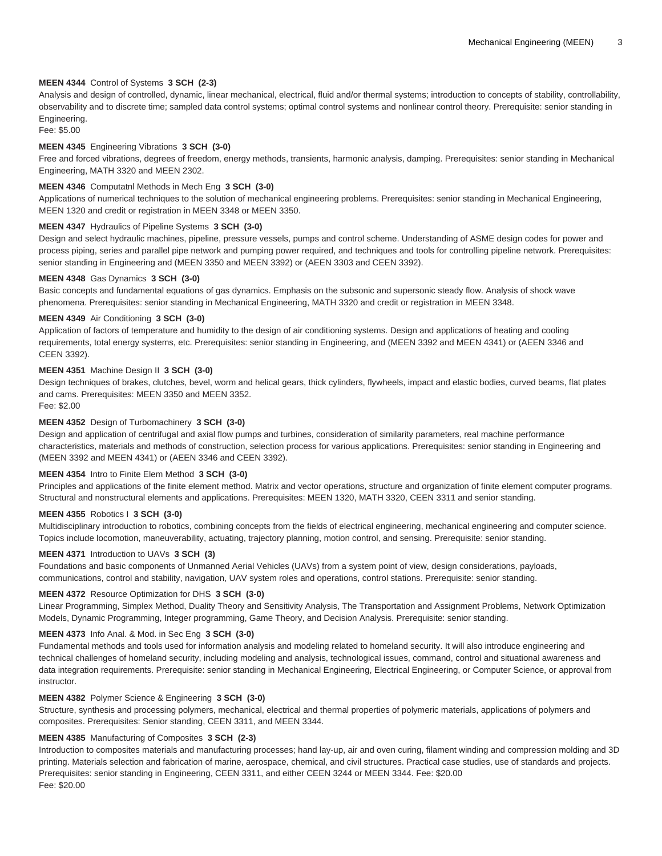## **MEEN 4344** Control of Systems **3 SCH (2-3)**

Analysis and design of controlled, dynamic, linear mechanical, electrical, fluid and/or thermal systems; introduction to concepts of stability, controllability, observability and to discrete time; sampled data control systems; optimal control systems and nonlinear control theory. Prerequisite: senior standing in Engineering.

Fee: \$5.00

## **MEEN 4345** Engineering Vibrations **3 SCH (3-0)**

Free and forced vibrations, degrees of freedom, energy methods, transients, harmonic analysis, damping. Prerequisites: senior standing in Mechanical Engineering, MATH 3320 and MEEN 2302.

## **MEEN 4346** Computatnl Methods in Mech Eng **3 SCH (3-0)**

Applications of numerical techniques to the solution of mechanical engineering problems. Prerequisites: senior standing in Mechanical Engineering, MEEN 1320 and credit or registration in MEEN 3348 or MEEN 3350.

# **MEEN 4347** Hydraulics of Pipeline Systems **3 SCH (3-0)**

Design and select hydraulic machines, pipeline, pressure vessels, pumps and control scheme. Understanding of ASME design codes for power and process piping, series and parallel pipe network and pumping power required, and techniques and tools for controlling pipeline network. Prerequisites: senior standing in Engineering and (MEEN 3350 and MEEN 3392) or (AEEN 3303 and CEEN 3392).

#### **MEEN 4348** Gas Dynamics **3 SCH (3-0)**

Basic concepts and fundamental equations of gas dynamics. Emphasis on the subsonic and supersonic steady flow. Analysis of shock wave phenomena. Prerequisites: senior standing in Mechanical Engineering, MATH 3320 and credit or registration in MEEN 3348.

#### **MEEN 4349** Air Conditioning **3 SCH (3-0)**

Application of factors of temperature and humidity to the design of air conditioning systems. Design and applications of heating and cooling requirements, total energy systems, etc. Prerequisites: senior standing in Engineering, and (MEEN 3392 and MEEN 4341) or (AEEN 3346 and CEEN 3392).

#### **MEEN 4351** Machine Design II **3 SCH (3-0)**

Design techniques of brakes, clutches, bevel, worm and helical gears, thick cylinders, flywheels, impact and elastic bodies, curved beams, flat plates and cams. Prerequisites: MEEN 3350 and MEEN 3352.

Fee: \$2.00

# **MEEN 4352** Design of Turbomachinery **3 SCH (3-0)**

Design and application of centrifugal and axial flow pumps and turbines, consideration of similarity parameters, real machine performance characteristics, materials and methods of construction, selection process for various applications. Prerequisites: senior standing in Engineering and (MEEN 3392 and MEEN 4341) or (AEEN 3346 and CEEN 3392).

## **MEEN 4354** Intro to Finite Elem Method **3 SCH (3-0)**

Principles and applications of the finite element method. Matrix and vector operations, structure and organization of finite element computer programs. Structural and nonstructural elements and applications. Prerequisites: MEEN 1320, MATH 3320, CEEN 3311 and senior standing.

## **MEEN 4355** Robotics I **3 SCH (3-0)**

Multidisciplinary introduction to robotics, combining concepts from the fields of electrical engineering, mechanical engineering and computer science. Topics include locomotion, maneuverability, actuating, trajectory planning, motion control, and sensing. Prerequisite: senior standing.

## **MEEN 4371** Introduction to UAVs **3 SCH (3)**

Foundations and basic components of Unmanned Aerial Vehicles (UAVs) from a system point of view, design considerations, payloads, communications, control and stability, navigation, UAV system roles and operations, control stations. Prerequisite: senior standing.

## **MEEN 4372** Resource Optimization for DHS **3 SCH (3-0)**

Linear Programming, Simplex Method, Duality Theory and Sensitivity Analysis, The Transportation and Assignment Problems, Network Optimization Models, Dynamic Programming, Integer programming, Game Theory, and Decision Analysis. Prerequisite: senior standing.

#### **MEEN 4373** Info Anal. & Mod. in Sec Eng **3 SCH (3-0)**

Fundamental methods and tools used for information analysis and modeling related to homeland security. It will also introduce engineering and technical challenges of homeland security, including modeling and analysis, technological issues, command, control and situational awareness and data integration requirements. Prerequisite: senior standing in Mechanical Engineering, Electrical Engineering, or Computer Science, or approval from instructor.

#### **MEEN 4382** Polymer Science & Engineering **3 SCH (3-0)**

Structure, synthesis and processing polymers, mechanical, electrical and thermal properties of polymeric materials, applications of polymers and composites. Prerequisites: Senior standing, CEEN 3311, and MEEN 3344.

## **MEEN 4385** Manufacturing of Composites **3 SCH (2-3)**

Introduction to composites materials and manufacturing processes; hand lay-up, air and oven curing, filament winding and compression molding and 3D printing. Materials selection and fabrication of marine, aerospace, chemical, and civil structures. Practical case studies, use of standards and projects. Prerequisites: senior standing in Engineering, CEEN 3311, and either CEEN 3244 or MEEN 3344. Fee: \$20.00 Fee: \$20.00